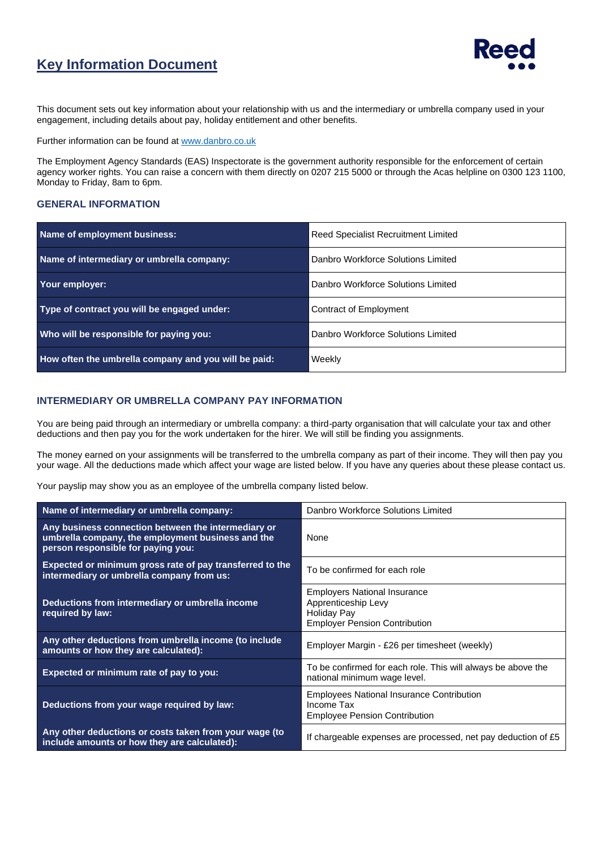## **Key Information Document**



This document sets out key information about your relationship with us and the intermediary or umbrella company used in your engagement, including details about pay, holiday entitlement and other benefits.

Further information can be found a[t www.danbro.co.uk](http://www.danbro.co.uk/)

The Employment Agency Standards (EAS) Inspectorate is the government authority responsible for the enforcement of certain agency worker rights. You can raise a concern with them directly on 0207 215 5000 or through the Acas helpline on 0300 123 1100, Monday to Friday, 8am to 6pm.

#### **GENERAL INFORMATION**

| Name of employment business:                         | <b>Reed Specialist Recruitment Limited</b> |  |
|------------------------------------------------------|--------------------------------------------|--|
| Name of intermediary or umbrella company:            | Danbro Workforce Solutions Limited         |  |
| Your employer:                                       | Danbro Workforce Solutions Limited         |  |
| Type of contract you will be engaged under:          | Contract of Employment                     |  |
| Who will be responsible for paying you:              | Danbro Workforce Solutions Limited         |  |
| How often the umbrella company and you will be paid: | Weekly                                     |  |

#### **INTERMEDIARY OR UMBRELLA COMPANY PAY INFORMATION**

You are being paid through an intermediary or umbrella company: a third-party organisation that will calculate your tax and other deductions and then pay you for the work undertaken for the hirer. We will still be finding you assignments.

The money earned on your assignments will be transferred to the umbrella company as part of their income. They will then pay you your wage. All the deductions made which affect your wage are listed below. If you have any queries about these please contact us.

Your payslip may show you as an employee of the umbrella company listed below.

| Name of intermediary or umbrella company:                                                                                                      | Danbro Workforce Solutions Limited                                                                                |  |
|------------------------------------------------------------------------------------------------------------------------------------------------|-------------------------------------------------------------------------------------------------------------------|--|
| Any business connection between the intermediary or<br>umbrella company, the employment business and the<br>person responsible for paying you: | None                                                                                                              |  |
| Expected or minimum gross rate of pay transferred to the<br>intermediary or umbrella company from us:                                          | To be confirmed for each role                                                                                     |  |
| Deductions from intermediary or umbrella income<br>required by law:                                                                            | <b>Employers National Insurance</b><br>Apprenticeship Levy<br>Holiday Pay<br><b>Employer Pension Contribution</b> |  |
| Any other deductions from umbrella income (to include<br>amounts or how they are calculated):                                                  | Employer Margin - £26 per timesheet (weekly)                                                                      |  |
| Expected or minimum rate of pay to you:                                                                                                        | To be confirmed for each role. This will always be above the<br>national minimum wage level.                      |  |
| Deductions from your wage required by law:                                                                                                     | <b>Employees National Insurance Contribution</b><br>Income Tax<br><b>Employee Pension Contribution</b>            |  |
| Any other deductions or costs taken from your wage (to<br>include amounts or how they are calculated):                                         | If chargeable expenses are processed, net pay deduction of £5                                                     |  |